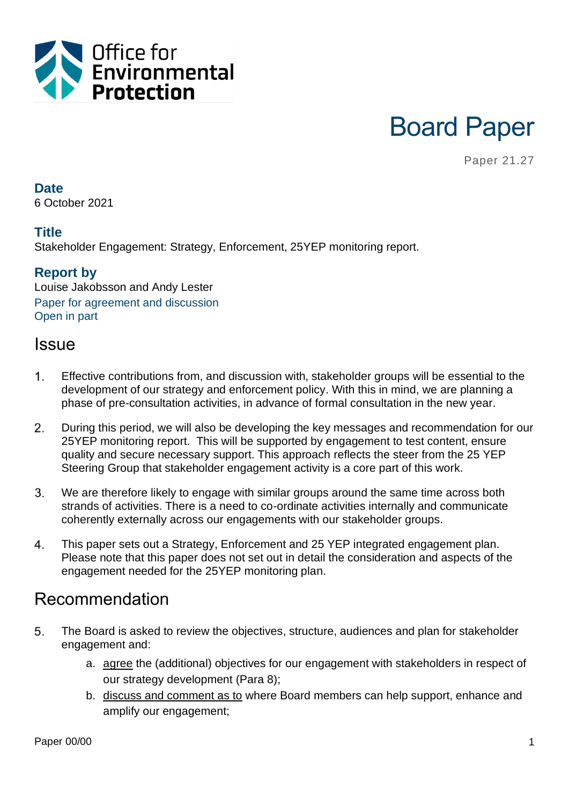

# Board Paper

Paper 21.27

#### **Date**

6 October 2021

### **Title**

Stakeholder Engagement: Strategy, Enforcement, 25YEP monitoring report.

### **Report by**

Louise Jakobsson and Andy Lester Paper for agreement and discussion Open in part

### **Issue**

- $1<sup>1</sup>$ Effective contributions from, and discussion with, stakeholder groups will be essential to the development of our strategy and enforcement policy. With this in mind, we are planning a phase of pre-consultation activities, in advance of formal consultation in the new year.
- $2.$ During this period, we will also be developing the key messages and recommendation for our 25YEP monitoring report. This will be supported by engagement to test content, ensure quality and secure necessary support. This approach reflects the steer from the 25 YEP Steering Group that stakeholder engagement activity is a core part of this work.
- $3<sub>1</sub>$ We are therefore likely to engage with similar groups around the same time across both strands of activities. There is a need to co-ordinate activities internally and communicate coherently externally across our engagements with our stakeholder groups.
- $\overline{4}$ . This paper sets out a Strategy, Enforcement and 25 YEP integrated engagement plan. Please note that this paper does not set out in detail the consideration and aspects of the engagement needed for the 25YEP monitoring plan.

### Recommendation

- 5. The Board is asked to review the objectives, structure, audiences and plan for stakeholder engagement and:
	- a. agree the (additional) objectives for our engagement with stakeholders in respect of our strategy development (Para 8);
	- b. discuss and comment as to where Board members can help support, enhance and amplify our engagement;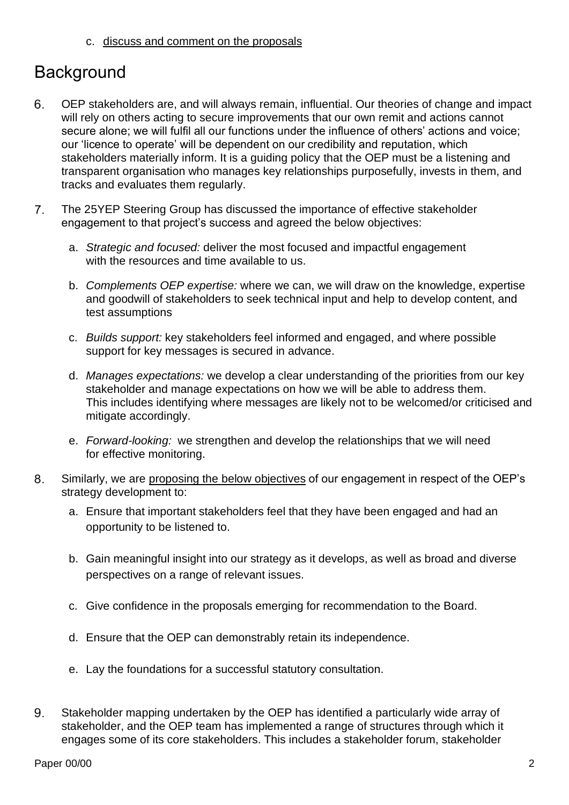c. discuss and comment on the proposals

# **Background**

- OEP stakeholders are, and will always remain, influential. Our theories of change and impact 6. will rely on others acting to secure improvements that our own remit and actions cannot secure alone; we will fulfil all our functions under the influence of others' actions and voice; our 'licence to operate' will be dependent on our credibility and reputation, which stakeholders materially inform. It is a guiding policy that the OEP must be a listening and transparent organisation who manages key relationships purposefully, invests in them, and tracks and evaluates them regularly.
- 7. The 25YEP Steering Group has discussed the importance of effective stakeholder engagement to that project's success and agreed the below objectives:
	- a. *Strategic and focused:* deliver the most focused and impactful engagement with the resources and time available to us.
	- b. *Complements OEP expertise:* where we can, we will draw on the knowledge, expertise and goodwill of stakeholders to seek technical input and help to develop content, and test assumptions
	- c. *Builds support:* key stakeholders feel informed and engaged, and where possible support for key messages is secured in advance.
	- d. *Manages expectations:* we develop a clear understanding of the priorities from our key stakeholder and manage expectations on how we will be able to address them. This includes identifying where messages are likely not to be welcomed/or criticised and mitigate accordingly.
	- e. *Forward-looking:* we strengthen and develop the relationships that we will need for effective monitoring.
- 8. Similarly, we are proposing the below objectives of our engagement in respect of the OEP's strategy development to:
	- a. Ensure that important stakeholders feel that they have been engaged and had an opportunity to be listened to.
	- b. Gain meaningful insight into our strategy as it develops, as well as broad and diverse perspectives on a range of relevant issues.
	- c. Give confidence in the proposals emerging for recommendation to the Board.
	- d. Ensure that the OEP can demonstrably retain its independence.
	- e. Lay the foundations for a successful statutory consultation.
- 9. Stakeholder mapping undertaken by the OEP has identified a particularly wide array of stakeholder, and the OEP team has implemented a range of structures through which it engages some of its core stakeholders. This includes a stakeholder forum, stakeholder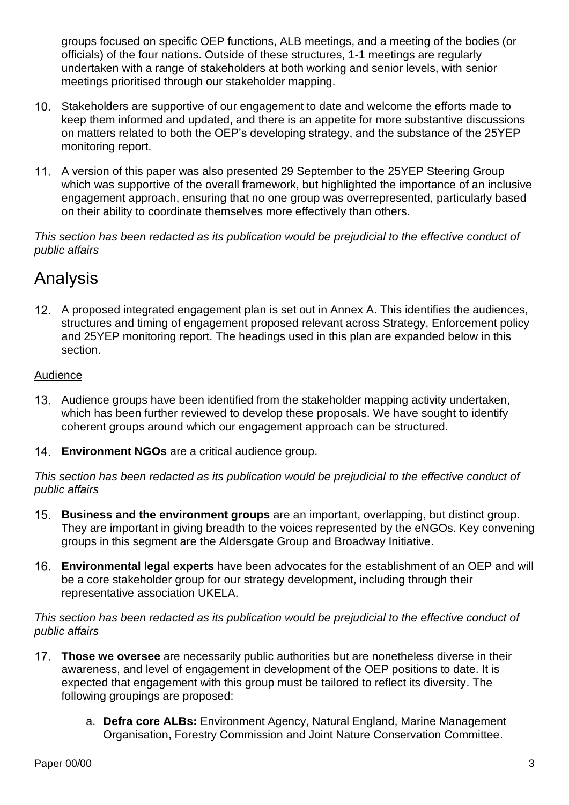groups focused on specific OEP functions, ALB meetings, and a meeting of the bodies (or officials) of the four nations. Outside of these structures, 1-1 meetings are regularly undertaken with a range of stakeholders at both working and senior levels, with senior meetings prioritised through our stakeholder mapping.

- Stakeholders are supportive of our engagement to date and welcome the efforts made to keep them informed and updated, and there is an appetite for more substantive discussions on matters related to both the OEP's developing strategy, and the substance of the 25YEP monitoring report.
- A version of this paper was also presented 29 September to the 25YEP Steering Group which was supportive of the overall framework, but highlighted the importance of an inclusive engagement approach, ensuring that no one group was overrepresented, particularly based on their ability to coordinate themselves more effectively than others.

*This section has been redacted as its publication would be prejudicial to the effective conduct of public affairs*

# Analysis

A proposed integrated engagement plan is set out in Annex A. This identifies the audiences, structures and timing of engagement proposed relevant across Strategy, Enforcement policy and 25YEP monitoring report. The headings used in this plan are expanded below in this section.

#### Audience

- Audience groups have been identified from the stakeholder mapping activity undertaken, which has been further reviewed to develop these proposals. We have sought to identify coherent groups around which our engagement approach can be structured.
- **Environment NGOs** are a critical audience group.

*This section has been redacted as its publication would be prejudicial to the effective conduct of public affairs*

- **Business and the environment groups** are an important, overlapping, but distinct group. They are important in giving breadth to the voices represented by the eNGOs. Key convening groups in this segment are the Aldersgate Group and Broadway Initiative.
- **Environmental legal experts** have been advocates for the establishment of an OEP and will be a core stakeholder group for our strategy development, including through their representative association UKELA.

#### *This section has been redacted as its publication would be prejudicial to the effective conduct of public affairs*

- **Those we oversee** are necessarily public authorities but are nonetheless diverse in their awareness, and level of engagement in development of the OEP positions to date. It is expected that engagement with this group must be tailored to reflect its diversity. The following groupings are proposed:
	- a. **Defra core ALBs:** Environment Agency, Natural England, Marine Management Organisation, Forestry Commission and Joint Nature Conservation Committee.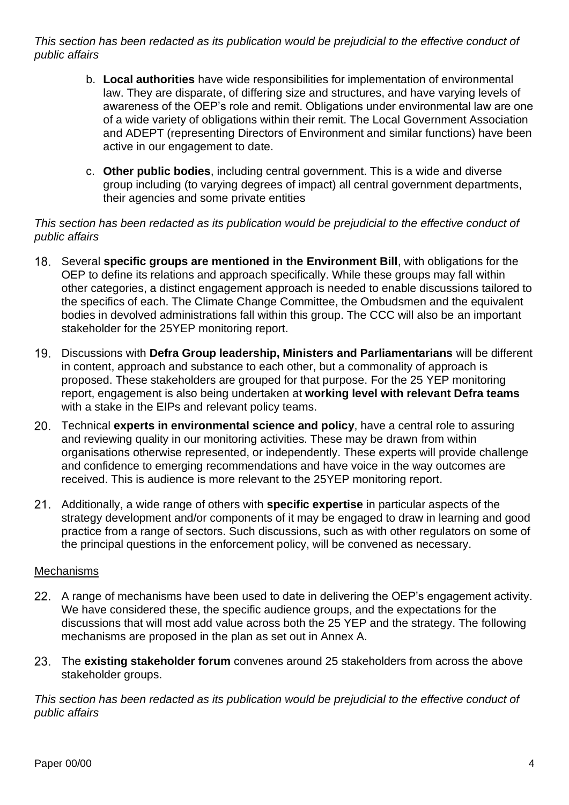*This section has been redacted as its publication would be prejudicial to the effective conduct of public affairs*

- b. **Local authorities** have wide responsibilities for implementation of environmental law. They are disparate, of differing size and structures, and have varying levels of awareness of the OEP's role and remit. Obligations under environmental law are one of a wide variety of obligations within their remit. The Local Government Association and ADEPT (representing Directors of Environment and similar functions) have been active in our engagement to date.
- c. **Other public bodies**, including central government. This is a wide and diverse group including (to varying degrees of impact) all central government departments, their agencies and some private entities

#### *This section has been redacted as its publication would be prejudicial to the effective conduct of public affairs*

- Several **specific groups are mentioned in the Environment Bill**, with obligations for the OEP to define its relations and approach specifically. While these groups may fall within other categories, a distinct engagement approach is needed to enable discussions tailored to the specifics of each. The Climate Change Committee, the Ombudsmen and the equivalent bodies in devolved administrations fall within this group. The CCC will also be an important stakeholder for the 25YEP monitoring report.
- Discussions with **Defra Group leadership, Ministers and Parliamentarians** will be different in content, approach and substance to each other, but a commonality of approach is proposed. These stakeholders are grouped for that purpose. For the 25 YEP monitoring report, engagement is also being undertaken at **working level with relevant Defra teams** with a stake in the EIPs and relevant policy teams.
- Technical **experts in environmental science and policy**, have a central role to assuring and reviewing quality in our monitoring activities. These may be drawn from within organisations otherwise represented, or independently. These experts will provide challenge and confidence to emerging recommendations and have voice in the way outcomes are received. This is audience is more relevant to the 25YEP monitoring report.
- Additionally, a wide range of others with **specific expertise** in particular aspects of the strategy development and/or components of it may be engaged to draw in learning and good practice from a range of sectors. Such discussions, such as with other regulators on some of the principal questions in the enforcement policy, will be convened as necessary.

#### **Mechanisms**

- A range of mechanisms have been used to date in delivering the OEP's engagement activity. We have considered these, the specific audience groups, and the expectations for the discussions that will most add value across both the 25 YEP and the strategy. The following mechanisms are proposed in the plan as set out in Annex A.
- The **existing stakeholder forum** convenes around 25 stakeholders from across the above stakeholder groups.

*This section has been redacted as its publication would be prejudicial to the effective conduct of public affairs*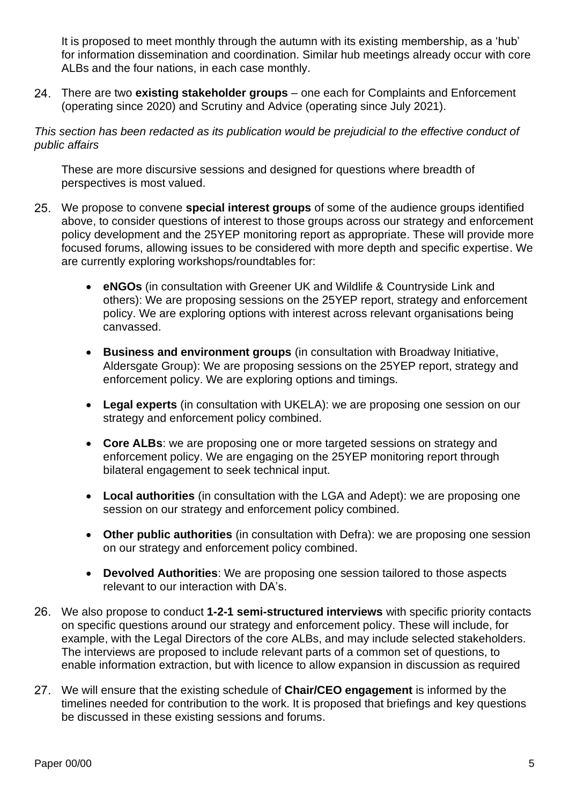It is proposed to meet monthly through the autumn with its existing membership, as a 'hub' for information dissemination and coordination. Similar hub meetings already occur with core ALBs and the four nations, in each case monthly.

There are two **existing stakeholder groups** – one each for Complaints and Enforcement (operating since 2020) and Scrutiny and Advice (operating since July 2021).

*This section has been redacted as its publication would be prejudicial to the effective conduct of public affairs*

These are more discursive sessions and designed for questions where breadth of perspectives is most valued.

- We propose to convene **special interest groups** of some of the audience groups identified above, to consider questions of interest to those groups across our strategy and enforcement policy development and the 25YEP monitoring report as appropriate. These will provide more focused forums, allowing issues to be considered with more depth and specific expertise. We are currently exploring workshops/roundtables for:
	- **eNGOs** (in consultation with Greener UK and Wildlife & Countryside Link and others): We are proposing sessions on the 25YEP report, strategy and enforcement policy. We are exploring options with interest across relevant organisations being canvassed.
	- **Business and environment groups** (in consultation with Broadway Initiative, Aldersgate Group): We are proposing sessions on the 25YEP report, strategy and enforcement policy. We are exploring options and timings.
	- **Legal experts** (in consultation with UKELA): we are proposing one session on our strategy and enforcement policy combined.
	- **Core ALBs**: we are proposing one or more targeted sessions on strategy and enforcement policy. We are engaging on the 25YEP monitoring report through bilateral engagement to seek technical input.
	- **Local authorities** (in consultation with the LGA and Adept): we are proposing one session on our strategy and enforcement policy combined.
	- **Other public authorities** (in consultation with Defra): we are proposing one session on our strategy and enforcement policy combined.
	- **Devolved Authorities**: We are proposing one session tailored to those aspects relevant to our interaction with DA's.
- We also propose to conduct **1-2-1 semi-structured interviews** with specific priority contacts on specific questions around our strategy and enforcement policy. These will include, for example, with the Legal Directors of the core ALBs, and may include selected stakeholders. The interviews are proposed to include relevant parts of a common set of questions, to enable information extraction, but with licence to allow expansion in discussion as required
- We will ensure that the existing schedule of **Chair/CEO engagement** is informed by the timelines needed for contribution to the work. It is proposed that briefings and key questions be discussed in these existing sessions and forums.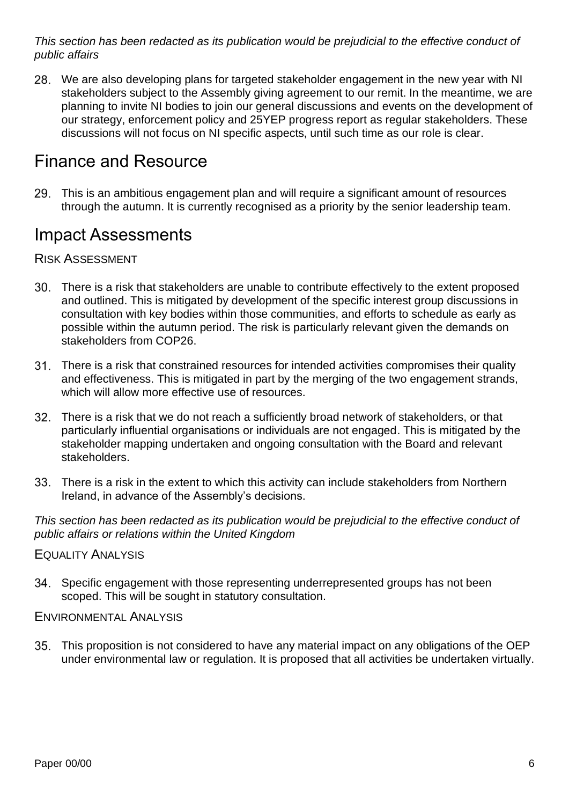*This section has been redacted as its publication would be prejudicial to the effective conduct of public affairs*

We are also developing plans for targeted stakeholder engagement in the new year with NI stakeholders subject to the Assembly giving agreement to our remit. In the meantime, we are planning to invite NI bodies to join our general discussions and events on the development of our strategy, enforcement policy and 25YEP progress report as regular stakeholders. These discussions will not focus on NI specific aspects, until such time as our role is clear.

### Finance and Resource

This is an ambitious engagement plan and will require a significant amount of resources through the autumn. It is currently recognised as a priority by the senior leadership team.

### Impact Assessments

### RISK ASSESSMENT

- There is a risk that stakeholders are unable to contribute effectively to the extent proposed and outlined. This is mitigated by development of the specific interest group discussions in consultation with key bodies within those communities, and efforts to schedule as early as possible within the autumn period. The risk is particularly relevant given the demands on stakeholders from COP26.
- There is a risk that constrained resources for intended activities compromises their quality and effectiveness. This is mitigated in part by the merging of the two engagement strands, which will allow more effective use of resources.
- There is a risk that we do not reach a sufficiently broad network of stakeholders, or that particularly influential organisations or individuals are not engaged. This is mitigated by the stakeholder mapping undertaken and ongoing consultation with the Board and relevant stakeholders.
- There is a risk in the extent to which this activity can include stakeholders from Northern Ireland, in advance of the Assembly's decisions.

*This section has been redacted as its publication would be prejudicial to the effective conduct of public affairs or relations within the United Kingdom*

#### EQUALITY ANALYSIS

Specific engagement with those representing underrepresented groups has not been scoped. This will be sought in statutory consultation.

#### ENVIRONMENTAL ANALYSIS

This proposition is not considered to have any material impact on any obligations of the OEP under environmental law or regulation. It is proposed that all activities be undertaken virtually.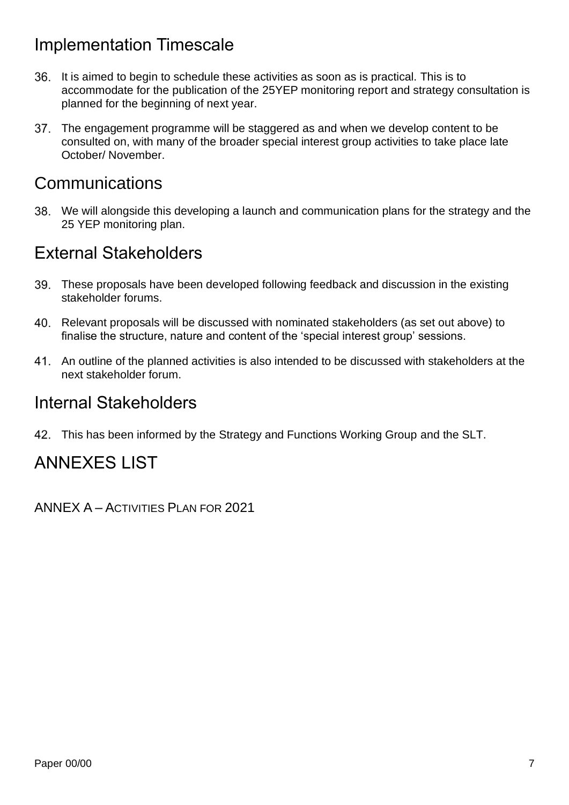# Implementation Timescale

- It is aimed to begin to schedule these activities as soon as is practical. This is to accommodate for the publication of the 25YEP monitoring report and strategy consultation is planned for the beginning of next year.
- The engagement programme will be staggered as and when we develop content to be 37. consulted on, with many of the broader special interest group activities to take place late October/ November.

### **Communications**

We will alongside this developing a launch and communication plans for the strategy and the 25 YEP monitoring plan.

### External Stakeholders

- These proposals have been developed following feedback and discussion in the existing stakeholder forums.
- Relevant proposals will be discussed with nominated stakeholders (as set out above) to finalise the structure, nature and content of the 'special interest group' sessions.
- An outline of the planned activities is also intended to be discussed with stakeholders at the next stakeholder forum.

### Internal Stakeholders

This has been informed by the Strategy and Functions Working Group and the SLT.

# ANNEXES LIST

ANNEX A – ACTIVITIES PLAN FOR 2021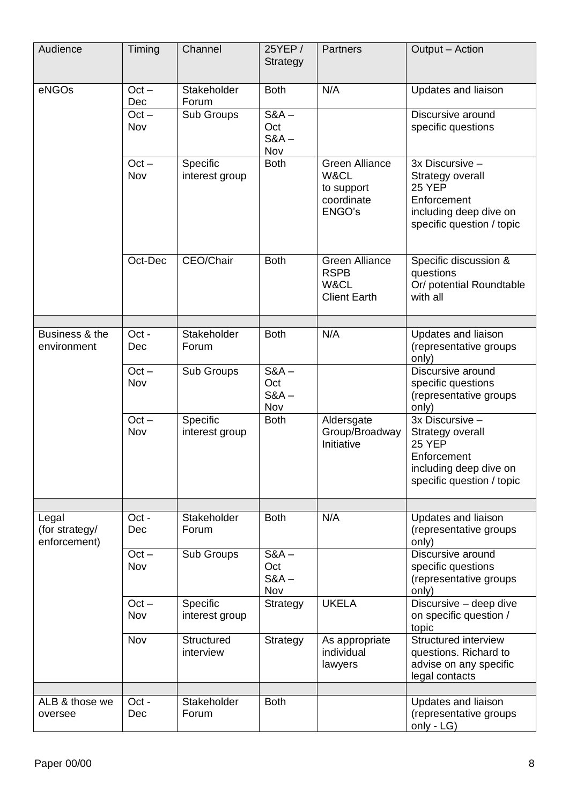| Audience                                | Timing                | Channel                    | 25YEP /<br>Strategy              | Partners                                                            | Output - Action                                                                                                            |
|-----------------------------------------|-----------------------|----------------------------|----------------------------------|---------------------------------------------------------------------|----------------------------------------------------------------------------------------------------------------------------|
| eNGOs                                   | $Oct -$<br><b>Dec</b> | Stakeholder<br>Forum       | <b>Both</b>                      | N/A                                                                 | Updates and liaison                                                                                                        |
|                                         | $Oct -$<br>Nov        | Sub Groups                 | $S&A$ –<br>Oct<br>$S&A$ –<br>Nov |                                                                     | Discursive around<br>specific questions                                                                                    |
|                                         | $Oct -$<br>Nov        | Specific<br>interest group | <b>Both</b>                      | <b>Green Alliance</b><br>W&CL<br>to support<br>coordinate<br>ENGO's | 3x Discursive -<br>Strategy overall<br>25 YEP<br>Enforcement<br>including deep dive on<br>specific question / topic        |
|                                         | Oct-Dec               | CEO/Chair                  | <b>Both</b>                      | <b>Green Alliance</b><br><b>RSPB</b><br>W&CL<br><b>Client Earth</b> | Specific discussion &<br>questions<br>Or/ potential Roundtable<br>with all                                                 |
|                                         |                       |                            |                                  |                                                                     |                                                                                                                            |
| Business & the<br>environment           | Oct -<br>Dec          | Stakeholder<br>Forum       | <b>Both</b>                      | N/A                                                                 | Updates and liaison<br>(representative groups<br>only)                                                                     |
|                                         | $Oct -$<br>Nov        | Sub Groups                 | $S&A$ –<br>Oct<br>$S&A$ –<br>Nov |                                                                     | Discursive around<br>specific questions<br>(representative groups<br>only)                                                 |
|                                         | $Oct -$<br>Nov        | Specific<br>interest group | <b>Both</b>                      | Aldersgate<br>Group/Broadway<br>Initiative                          | 3x Discursive -<br>Strategy overall<br><b>25 YEP</b><br>Enforcement<br>including deep dive on<br>specific question / topic |
|                                         |                       |                            |                                  |                                                                     |                                                                                                                            |
| Legal<br>(for strategy/<br>enforcement) | Oct -<br>Dec          | Stakeholder<br>Forum       | <b>Both</b>                      | N/A                                                                 | Updates and liaison<br>(representative groups<br>only)                                                                     |
|                                         | $Oct -$<br>Nov        | Sub Groups                 | $S&A$ –<br>Oct<br>$S&A$ –<br>Nov |                                                                     | Discursive around<br>specific questions<br>(representative groups<br>only)                                                 |
|                                         | $Oct -$<br>Nov        | Specific<br>interest group | Strategy                         | <b>UKELA</b>                                                        | Discursive - deep dive<br>on specific question /<br>topic                                                                  |
|                                         | Nov                   | Structured<br>interview    | Strategy                         | As appropriate<br>individual<br>lawyers                             | Structured interview<br>questions. Richard to<br>advise on any specific<br>legal contacts                                  |
| ALB & those we                          |                       | Stakeholder                |                                  |                                                                     |                                                                                                                            |
| oversee                                 | Oct -<br>Dec          | Forum                      | <b>Both</b>                      |                                                                     | Updates and liaison<br>(representative groups<br>only - LG)                                                                |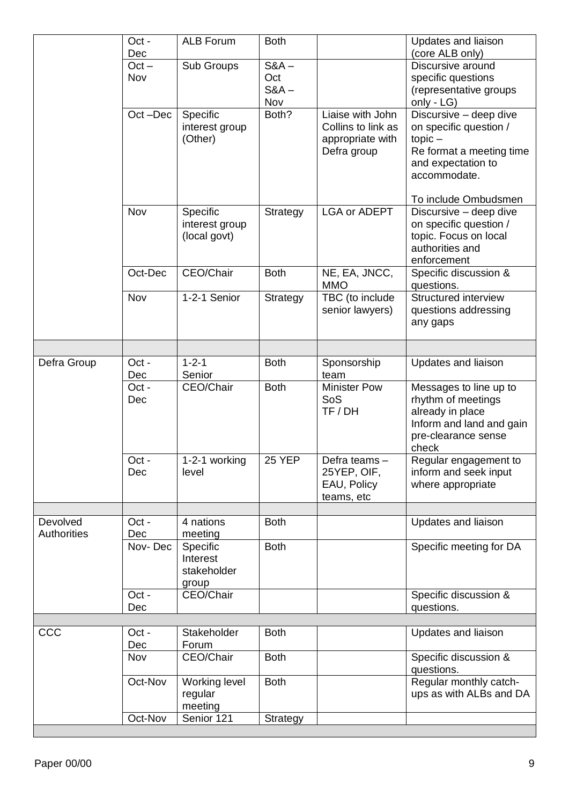|                    | Oct -<br>Dec | <b>ALB Forum</b>      | <b>Both</b>   |                     | <b>Updates and liaison</b>           |
|--------------------|--------------|-----------------------|---------------|---------------------|--------------------------------------|
|                    | $Oct -$      | Sub Groups            | $S&A$ –       |                     | (core ALB only)<br>Discursive around |
|                    | Nov          |                       | Oct           |                     | specific questions                   |
|                    |              |                       | $S&A$ –       |                     | (representative groups               |
|                    |              |                       | Nov           |                     | only - LG)                           |
|                    | Oct-Dec      | Specific              | Both?         | Liaise with John    | Discursive - deep dive               |
|                    |              | interest group        |               | Collins to link as  | on specific question /               |
|                    |              | (Other)               |               | appropriate with    | $topic -$                            |
|                    |              |                       |               | Defra group         | Re format a meeting time             |
|                    |              |                       |               |                     | and expectation to                   |
|                    |              |                       |               |                     | accommodate.                         |
|                    |              |                       |               |                     |                                      |
|                    |              |                       |               |                     | To include Ombudsmen                 |
|                    | Nov          | Specific              | Strategy      | <b>LGA or ADEPT</b> | Discursive - deep dive               |
|                    |              | interest group        |               |                     | on specific question /               |
|                    |              | (local govt)          |               |                     | topic. Focus on local                |
|                    |              |                       |               |                     | authorities and                      |
|                    |              |                       |               |                     | enforcement                          |
|                    | Oct-Dec      | CEO/Chair             | <b>Both</b>   | NE, EA, JNCC,       | Specific discussion &                |
|                    |              |                       |               | <b>MMO</b>          | questions.                           |
|                    | Nov          | 1-2-1 Senior          | Strategy      | TBC (to include     | Structured interview                 |
|                    |              |                       |               | senior lawyers)     | questions addressing                 |
|                    |              |                       |               |                     | any gaps                             |
|                    |              |                       |               |                     |                                      |
| Defra Group        | Oct -        | $1 - 2 - 1$           | <b>Both</b>   | Sponsorship         | Updates and liaison                  |
|                    | Dec          | Senior                |               | team                |                                      |
|                    | Oct -        | CEO/Chair             | <b>Both</b>   | <b>Minister Pow</b> | Messages to line up to               |
|                    | Dec          |                       |               | SoS                 | rhythm of meetings                   |
|                    |              |                       |               | TF / DH             | already in place                     |
|                    |              |                       |               |                     | Inform and land and gain             |
|                    |              |                       |               |                     | pre-clearance sense                  |
|                    |              |                       |               |                     | check                                |
|                    | Oct -        | 1-2-1 working         | <b>25 YEP</b> | Defra teams -       | Regular engagement to                |
|                    | Dec          | level                 |               | 25YEP, OIF,         | inform and seek input                |
|                    |              |                       |               | EAU, Policy         | where appropriate                    |
|                    |              |                       |               | teams, etc          |                                      |
| Devolved           | Oct -        | 4 nations             | <b>Both</b>   |                     | Updates and liaison                  |
| <b>Authorities</b> | Dec          | meeting               |               |                     |                                      |
|                    | Nov-Dec      | Specific              | <b>Both</b>   |                     | Specific meeting for DA              |
|                    |              | Interest              |               |                     |                                      |
|                    |              | stakeholder           |               |                     |                                      |
|                    |              | group                 |               |                     |                                      |
|                    | Oct -        | CEO/Chair             |               |                     | Specific discussion &                |
|                    | Dec          |                       |               |                     | questions.                           |
|                    |              |                       |               |                     |                                      |
| CCC                | Oct -        | Stakeholder           | <b>Both</b>   |                     | Updates and liaison                  |
|                    | Dec          | Forum                 |               |                     |                                      |
|                    | Nov          | CEO/Chair             | <b>Both</b>   |                     | Specific discussion &                |
|                    |              |                       |               |                     | questions.                           |
|                    | Oct-Nov      | Working level         | <b>Both</b>   |                     | Regular monthly catch-               |
|                    |              | regular               |               |                     | ups as with ALBs and DA              |
|                    | Oct-Nov      | meeting<br>Senior 121 |               |                     |                                      |
|                    |              |                       | Strategy      |                     |                                      |